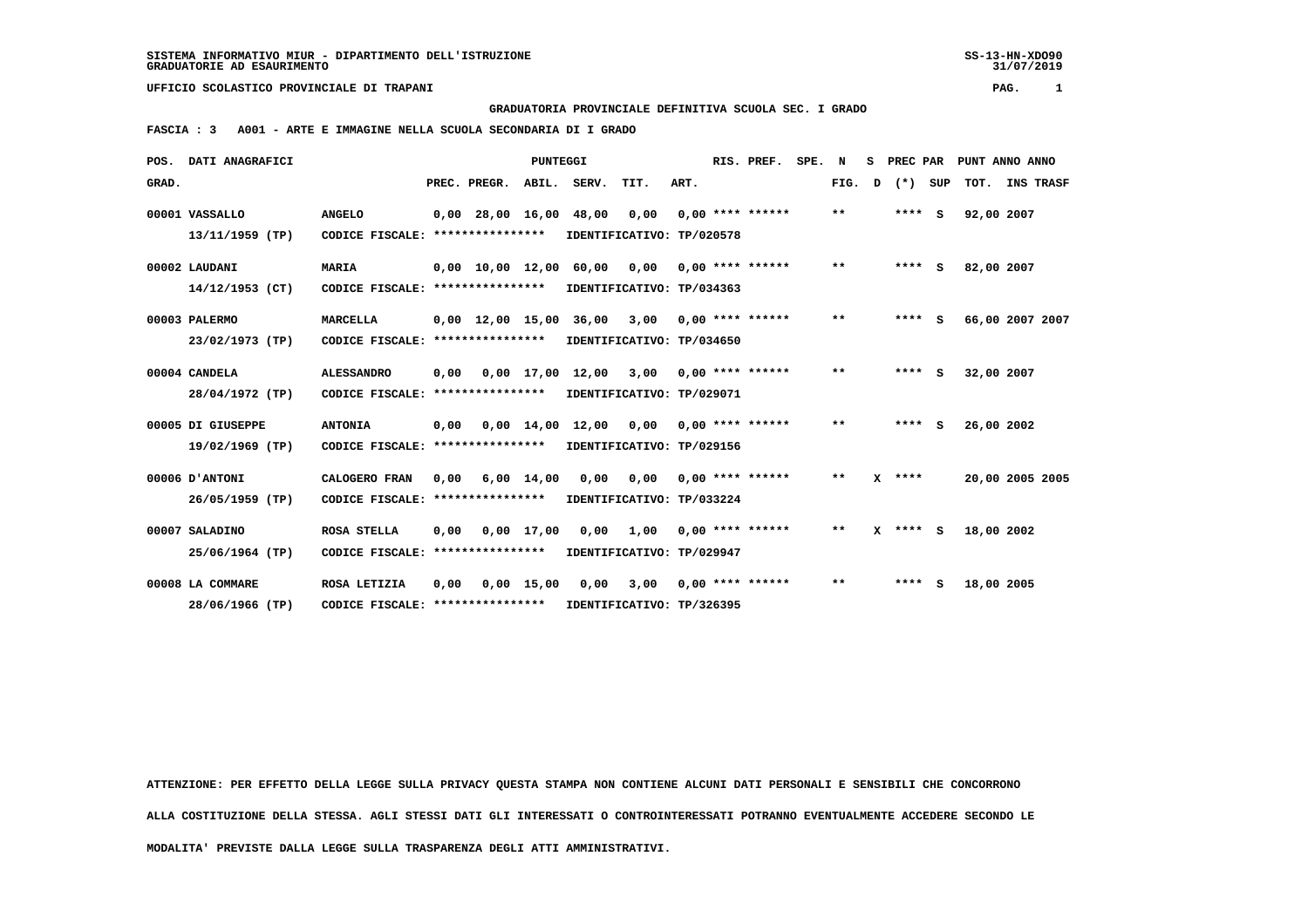**GRADUATORIA PROVINCIALE DEFINITIVA SCUOLA SEC. I GRADO**

 **FASCIA : 3 A001 - ARTE E IMMAGINE NELLA SCUOLA SECONDARIA DI I GRADO**

| POS.  | DATI ANAGRAFICI                      |                                                   |      |                                |                    |                                                                    | RIS. PREF.  | SPE. N |                    | s | PREC PAR |   |         | PUNT ANNO ANNO |            |                 |
|-------|--------------------------------------|---------------------------------------------------|------|--------------------------------|--------------------|--------------------------------------------------------------------|-------------|--------|--------------------|---|----------|---|---------|----------------|------------|-----------------|
| GRAD. |                                      |                                                   |      | PREC. PREGR.                   | ABIL.              | SERV.                                                              | TIT.        | ART.   |                    |   | FIG.     | D | $(*)$   | SUP            | TOT.       | INS TRASF       |
|       | 00001 VASSALLO<br>13/11/1959 (TP)    | <b>ANGELO</b><br>CODICE FISCALE: **************** |      |                                |                    | $0,00$ 28,00 16,00 48,00<br>IDENTIFICATIVO: TP/020578              | 0,00        |        | $0.00$ **** ****** |   | $***$    |   | $***$ S |                | 92,00 2007 |                 |
|       | 00002 LAUDANI<br>14/12/1953 (CT)     | <b>MARIA</b><br>CODICE FISCALE: ****************  |      |                                |                    | $0,00$ $10,00$ $12,00$ $60,00$ $0,00$<br>IDENTIFICATIVO: TP/034363 |             |        | $0.00$ **** ****** |   | **       |   | $***$ S |                | 82,00 2007 |                 |
|       | 00003 PALERMO<br>23/02/1973 (TP)     | MARCELLA<br>CODICE FISCALE: ****************      |      | $0.00 \quad 12.00 \quad 15.00$ |                    | 36,00<br>IDENTIFICATIVO: TP/034650                                 | 3,00        |        | $0.00$ **** ****** |   | $* *$    |   | $***$ S |                |            | 66,00 2007 2007 |
|       | 00004 CANDELA<br>28/04/1972 (TP)     | <b>ALESSANDRO</b><br>CODICE FISCALE:              | 0,00 | ****************               |                    | 0,00 17,00 12,00 3,00<br>IDENTIFICATIVO: TP/029071                 |             |        | $0.00$ **** ****** |   | $* *$    |   | $***$ S |                | 32,00 2007 |                 |
|       | 00005 DI GIUSEPPE<br>19/02/1969 (TP) | <b>ANTONIA</b><br>CODICE FISCALE:                 | 0,00 | ****************               |                    | $0,00$ $14,00$ $12,00$ $0,00$<br>IDENTIFICATIVO: TP/029156         |             |        | $0.00$ **** ****** |   | **       |   | $***$ S |                | 26,00 2002 |                 |
|       | 00006 D'ANTONI<br>26/05/1959 (TP)    | CALOGERO FRAN<br>CODICE FISCALE: **************** | 0,00 |                                | $6,00 \quad 14,00$ | 0,00<br>IDENTIFICATIVO: TP/033224                                  | 0,00        |        | $0.00$ **** ****** |   | $**$     | x | ****    |                |            | 20,00 2005 2005 |
|       | 00007 SALADINO<br>25/06/1964 (TP)    | <b>ROSA STELLA</b><br>CODICE FISCALE:             | 0.00 | ****************               | 0,00 17,00         | IDENTIFICATIVO: TP/029947                                          | $0,00$ 1,00 |        | $0.00$ **** ****** |   | $* *$    | x | $***$ S |                | 18,00 2002 |                 |
|       | 00008 LA COMMARE<br>28/06/1966 (TP)  | ROSA LETIZIA<br>CODICE FISCALE: ****************  | 0,00 |                                | $0,00$ 15,00       | 0,00<br>IDENTIFICATIVO: TP/326395                                  | 3,00        |        | $0.00$ **** ****** |   | $**$     |   | **** S  |                | 18,00 2005 |                 |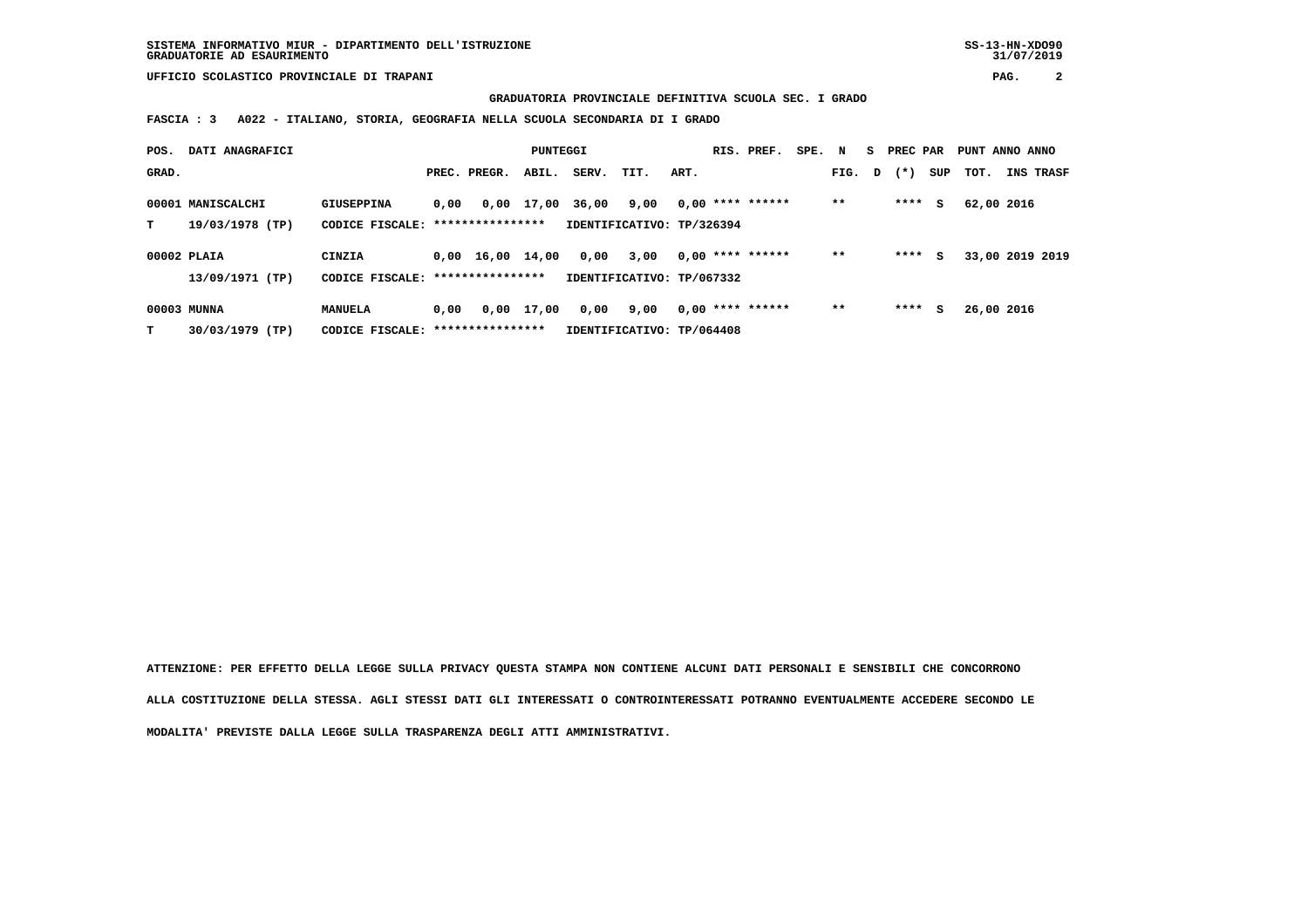**GRADUATORIA PROVINCIALE DEFINITIVA SCUOLA SEC. I GRADO**

 **FASCIA : 3 A022 - ITALIANO, STORIA, GEOGRAFIA NELLA SCUOLA SECONDARIA DI I GRADO**

| POS.  | DATI ANAGRAFICI                      |                                  |      |                                                    | PUNTEGGI   |       |                                   |      | RIS. PREF.         | SPE. N |        | S. | PREC PAR |     | PUNT ANNO ANNO |                 |
|-------|--------------------------------------|----------------------------------|------|----------------------------------------------------|------------|-------|-----------------------------------|------|--------------------|--------|--------|----|----------|-----|----------------|-----------------|
| GRAD. |                                      |                                  |      | PREC. PREGR.                                       | ABIL.      | SERV. | TIT.                              | ART. |                    |        | FIG. D |    | $(* )$   | SUP | тот.           | INS TRASF       |
| т     | 00001 MANISCALCHI<br>19/03/1978 (TP) | GIUSEPPINA<br>CODICE FISCALE:    | 0,00 | ****************                                   | 0,00 17,00 | 36,00 | 9,00<br>IDENTIFICATIVO: TP/326394 |      | $0,00$ **** ****** |        | **     |    | ****     | s   | 62,00 2016     |                 |
|       | 00002 PLAIA<br>13/09/1971 (TP)       | <b>CINZIA</b><br>CODICE FISCALE: |      | $0.00 \quad 16.00 \quad 14.00$<br>**************** |            | 0,00  | 3,00<br>IDENTIFICATIVO: TP/067332 |      | $0,00$ **** ****** |        | **     |    | ****     | s   |                | 33,00 2019 2019 |
| т     | 00003 MUNNA<br>30/03/1979 (TP)       | MANUELA<br>CODICE FISCALE:       | 0,00 | ****************                                   | 0,00 17,00 | 0,00  | 9,00<br>IDENTIFICATIVO: TP/064408 |      | $0.00$ **** ****** |        | $* *$  |    | ****     | s   | 26,00 2016     |                 |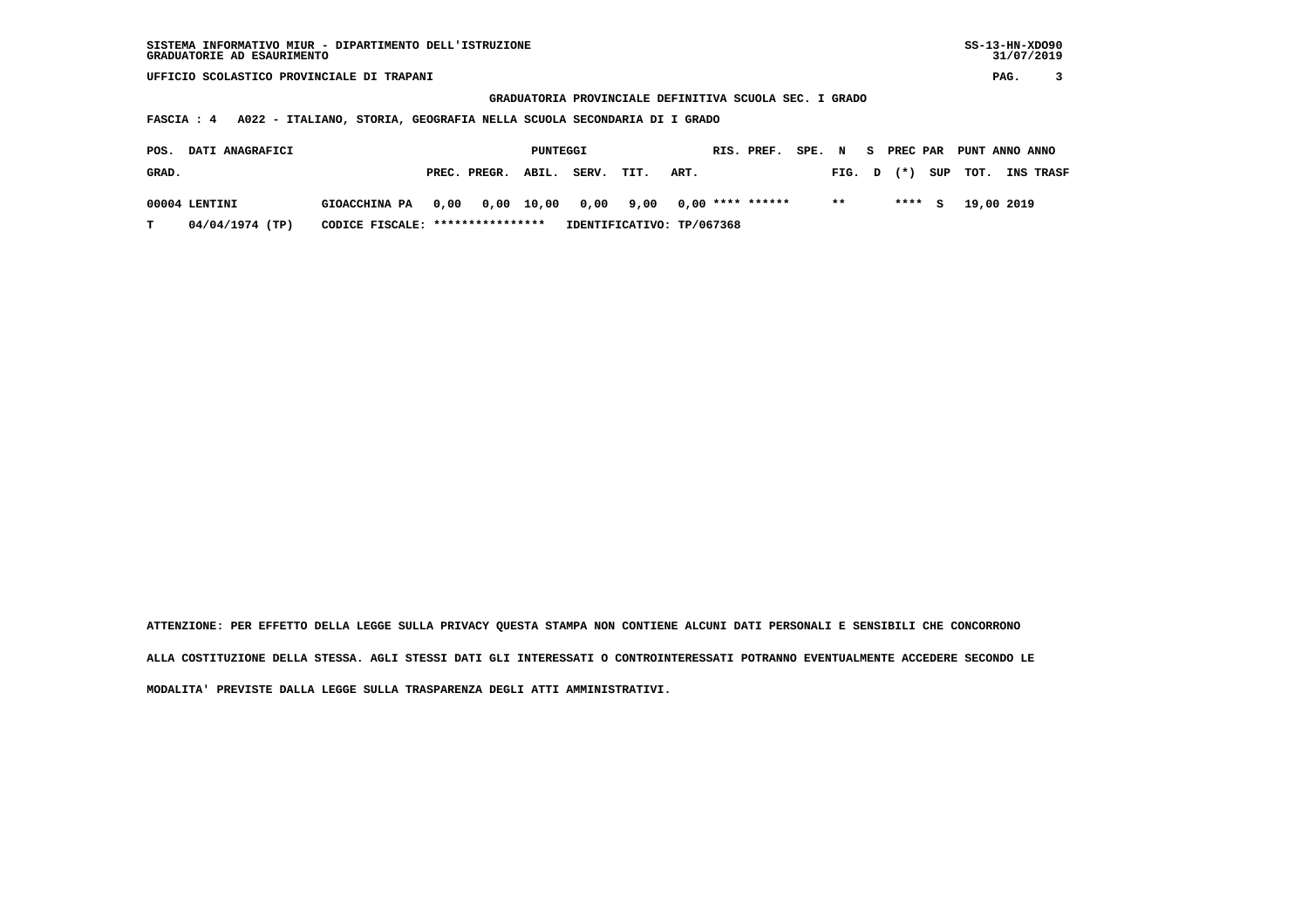**GRADUATORIA PROVINCIALE DEFINITIVA SCUOLA SEC. I GRADO**

 **FASCIA : 4 A022 - ITALIANO, STORIA, GEOGRAFIA NELLA SCUOLA SECONDARIA DI I GRADO**

| POS.          | <b>DATI ANAGRAFICI</b> |                                                          | PUNTEGGI |                    |  |       |      |                           |  |        | RIS. PREF. SPE. N S PREC PAR PUNT ANNO ANNO |                    |                  |
|---------------|------------------------|----------------------------------------------------------|----------|--------------------|--|-------|------|---------------------------|--|--------|---------------------------------------------|--------------------|------------------|
| GRAD.         |                        |                                                          |          | PREC. PREGR. ABIL. |  | SERV. | TIT. | ART.                      |  | FIG. D |                                             | $(\star)$ SUP TOT. | <b>INS TRASF</b> |
| 00004 LENTINI |                        | GIOACCHINA PA 0,00 0,00 10,00 0,00 9,00 0,00 **** ****** |          |                    |  |       |      |                           |  | $* *$  | $***$ S                                     | 19,00 2019         |                  |
| $\mathbf{T}$  | 04/04/1974 (TP)        | CODICE FISCALE: ****************                         |          |                    |  |       |      | IDENTIFICATIVO: TP/067368 |  |        |                                             |                    |                  |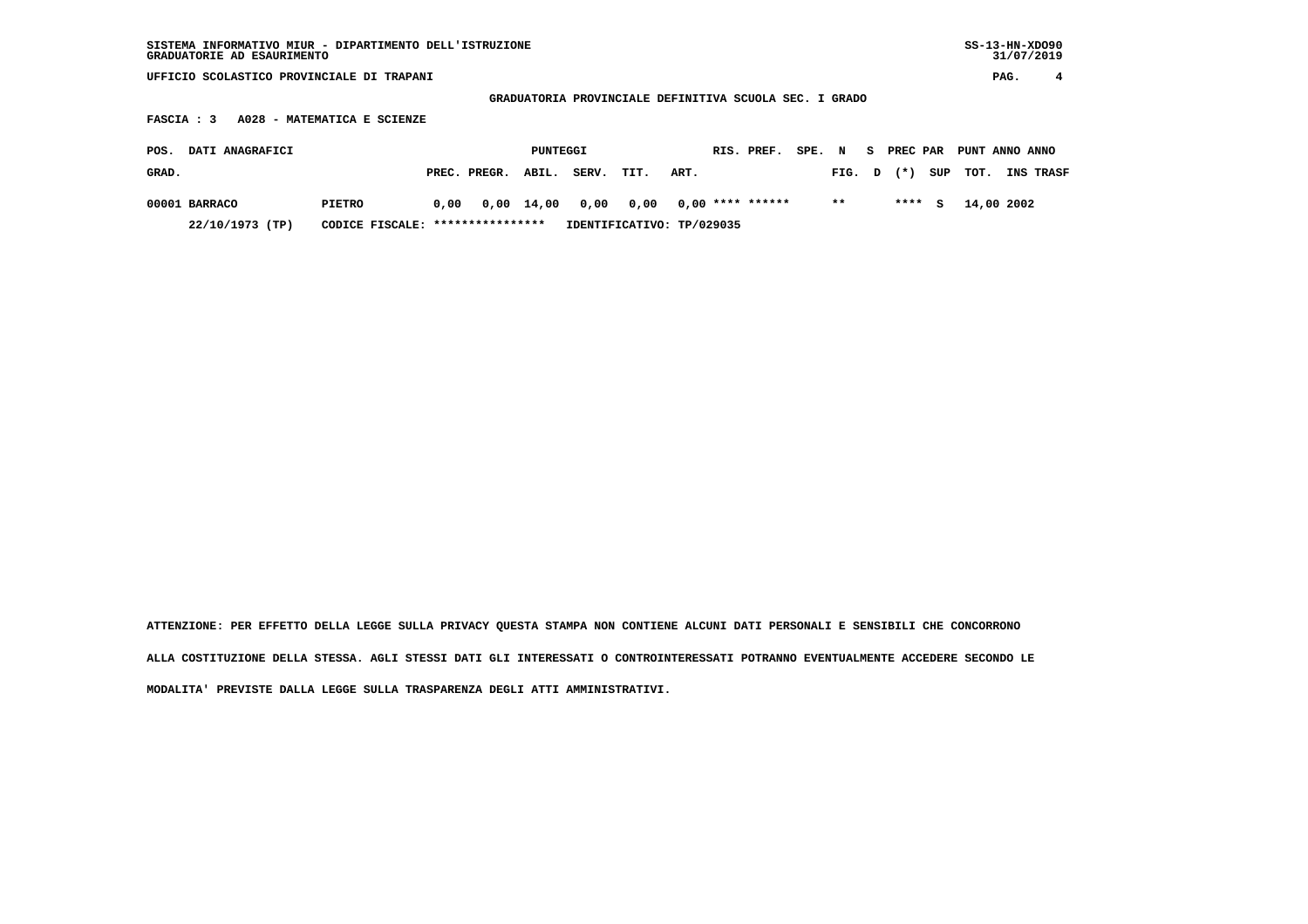| SISTEMA INFORMATIVO MIUR - DIPARTIMENTO DELL'ISTRUZIONE<br>GRADUATORIE AD ESAURIMENTO |                                                        |                       |                    |                               | $SS-13-HN-XDO90$<br>31/07/2019 |  |  |  |  |  |  |  |  |  |  |
|---------------------------------------------------------------------------------------|--------------------------------------------------------|-----------------------|--------------------|-------------------------------|--------------------------------|--|--|--|--|--|--|--|--|--|--|
| UFFICIO SCOLASTICO PROVINCIALE DI TRAPANI                                             |                                                        |                       |                    |                               | PAG.<br>4                      |  |  |  |  |  |  |  |  |  |  |
|                                                                                       | GRADUATORIA PROVINCIALE DEFINITIVA SCUOLA SEC. I GRADO |                       |                    |                               |                                |  |  |  |  |  |  |  |  |  |  |
| A028 - MATEMATICA E SCIENZE<br>FASCIA : 3                                             |                                                        |                       |                    |                               |                                |  |  |  |  |  |  |  |  |  |  |
| DATI ANAGRAFICI<br>POS.                                                               |                                                        | PUNTEGGI              | RIS. PREF.<br>SPE. | PREC PAR<br>$\mathbf N$<br>s. | PUNT ANNO ANNO                 |  |  |  |  |  |  |  |  |  |  |
| GRAD.                                                                                 | ABIL.<br>PREC. PREGR.                                  | SERV.<br>TIT.<br>ART. |                    | SUP<br>$(*)$<br>FIG.<br>D     | TOT.<br>INS TRASF              |  |  |  |  |  |  |  |  |  |  |
| 00001 BARRACO<br>PIETRO                                                               | $0,00 \quad 14,00$<br>0,00                             | 0,00<br>0,00          | $0,00$ **** ****** | $***$<br>****<br>s            | 14,00 2002                     |  |  |  |  |  |  |  |  |  |  |
| 22/10/1973 (TP)<br>CODICE FISCALE:                                                    | IDENTIFICATIVO: TP/029035                              |                       |                    |                               |                                |  |  |  |  |  |  |  |  |  |  |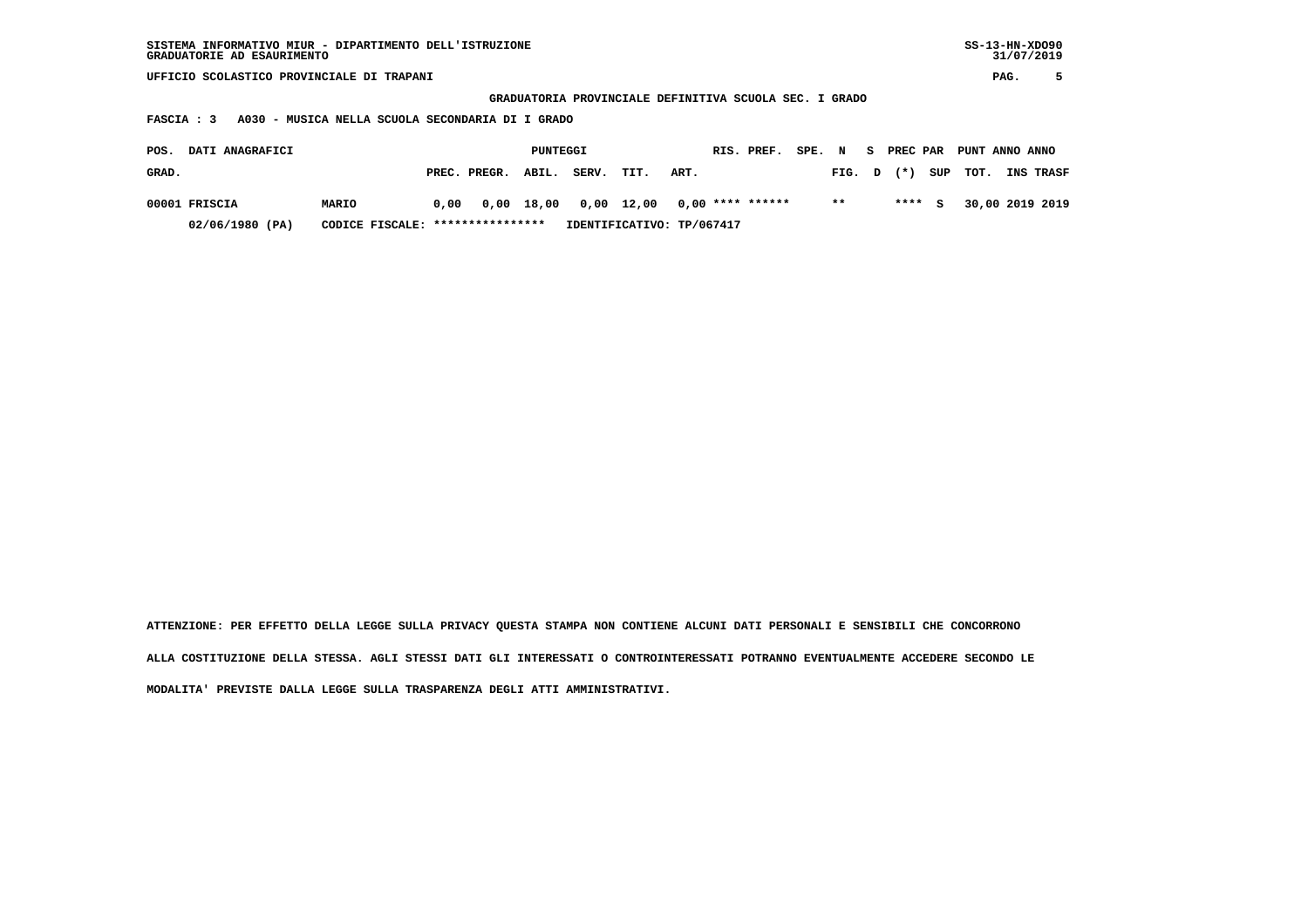| GRADUATORIE AD ESAURIMENTO                                                                  | SISTEMA INFORMATIVO MIUR - DIPARTIMENTO DELL'ISTRUZIONE          |                  |                |                    |                           |  |  |       |   |       |     |                 |      |           |  |
|---------------------------------------------------------------------------------------------|------------------------------------------------------------------|------------------|----------------|--------------------|---------------------------|--|--|-------|---|-------|-----|-----------------|------|-----------|--|
| UFFICIO SCOLASTICO PROVINCIALE DI TRAPANI                                                   |                                                                  |                  |                |                    |                           |  |  |       |   |       |     |                 | PAG. | 5         |  |
|                                                                                             | PROVINCIALE DEFINITIVA SCUOLA SEC. I GRADO<br><b>GRADUATORIA</b> |                  |                |                    |                           |  |  |       |   |       |     |                 |      |           |  |
| A030 - MUSICA NELLA SCUOLA SECONDARIA DI I GRADO<br>FASCIA : 3                              |                                                                  |                  |                |                    |                           |  |  |       |   |       |     |                 |      |           |  |
| DATI ANAGRAFICI<br>RIS. PREF.<br>SPE. N<br>S PREC PAR<br>PUNTEGGI<br>PUNT ANNO ANNO<br>POS. |                                                                  |                  |                |                    |                           |  |  |       |   |       |     |                 |      |           |  |
|                                                                                             |                                                                  |                  |                |                    |                           |  |  |       |   |       |     |                 |      |           |  |
| GRAD.                                                                                       |                                                                  | PREC. PREGR.     | ABIL.<br>SERV. | TIT.               | ART.                      |  |  | FIG.  | D | $(*)$ | SUP | тот.            |      | INS TRASF |  |
|                                                                                             |                                                                  |                  |                |                    |                           |  |  |       |   |       |     |                 |      |           |  |
| 00001 FRISCIA<br>MARIO                                                                      | 0.00                                                             | 18,00<br>0,00    |                | $0,00 \quad 12,00$ | $0,00$ **** ******        |  |  | $* *$ |   | ****  | s   | 30,00 2019 2019 |      |           |  |
| 02/06/1980 (PA)                                                                             | CODICE FISCALE:                                                  | **************** |                |                    | IDENTIFICATIVO: TP/067417 |  |  |       |   |       |     |                 |      |           |  |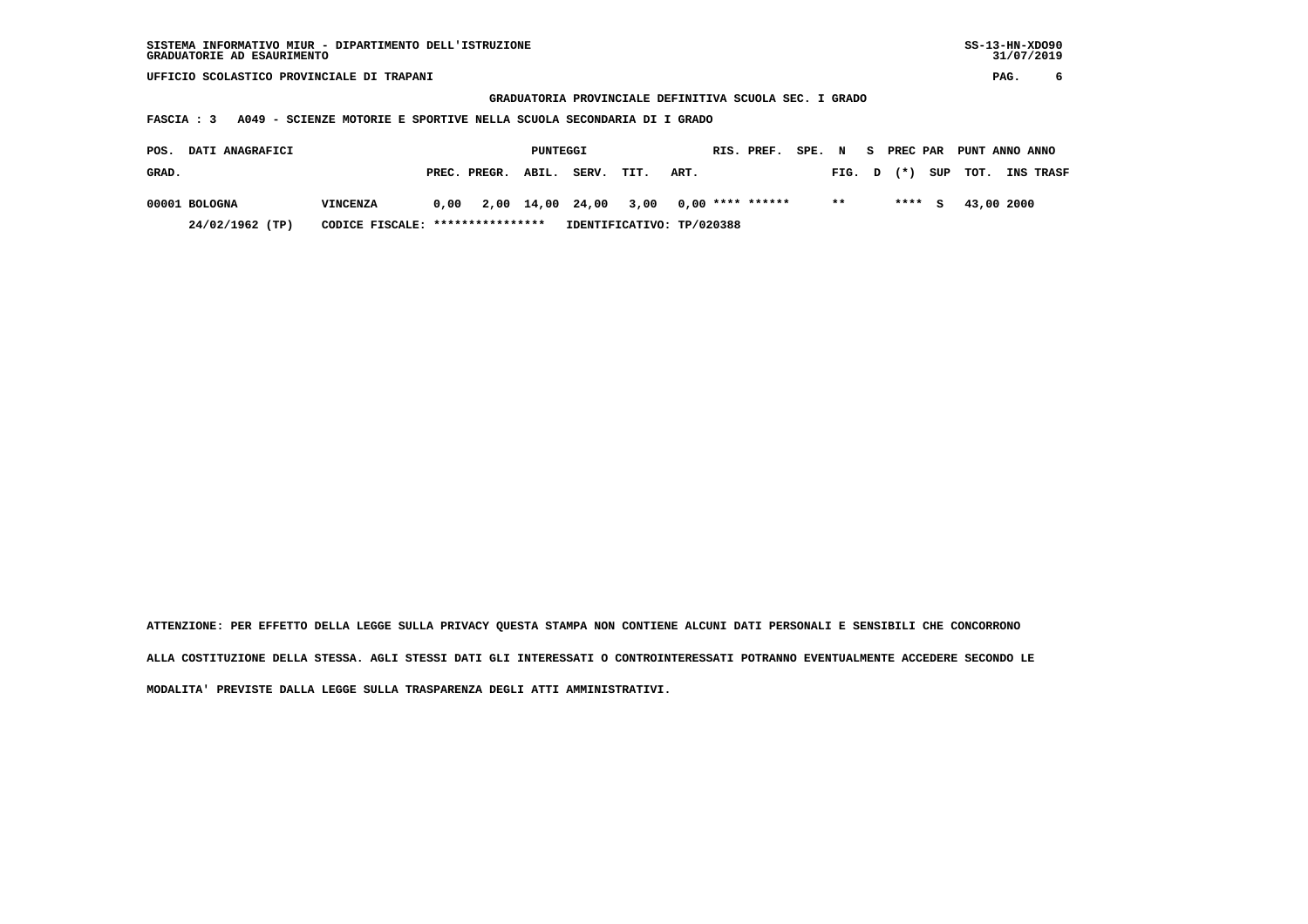**GRADUATORIA PROVINCIALE DEFINITIVA SCUOLA SEC. I GRADO**

 **FASCIA : 3 A049 - SCIENZE MOTORIE E SPORTIVE NELLA SCUOLA SECONDARIA DI I GRADO**

| <b>DATI ANAGRAFICI</b><br>POS. |                                                     |                 |      |                    | PUNTEGGI |       |                                        |      | RIS. PREF. | SPE. N |        | S PREC PAR | PUNT ANNO ANNO |                  |
|--------------------------------|-----------------------------------------------------|-----------------|------|--------------------|----------|-------|----------------------------------------|------|------------|--------|--------|------------|----------------|------------------|
| GRAD.                          |                                                     |                 |      | PREC. PREGR. ABIL. |          | SERV. | TIT.                                   | ART. |            |        | FIG. D | $(*)$      | SUP TOT.       | <b>INS TRASF</b> |
| 00001 BOLOGNA                  |                                                     | <b>VINCENZA</b> | 0.00 |                    |          |       | 2,00 14,00 24,00 3,00 0,00 **** ****** |      |            |        | $* *$  | $***5$     | 43,00 2000     |                  |
|                                | CODICE FISCALE: ****************<br>24/02/1962 (TP) |                 |      |                    |          |       | IDENTIFICATIVO: TP/020388              |      |            |        |        |            |                |                  |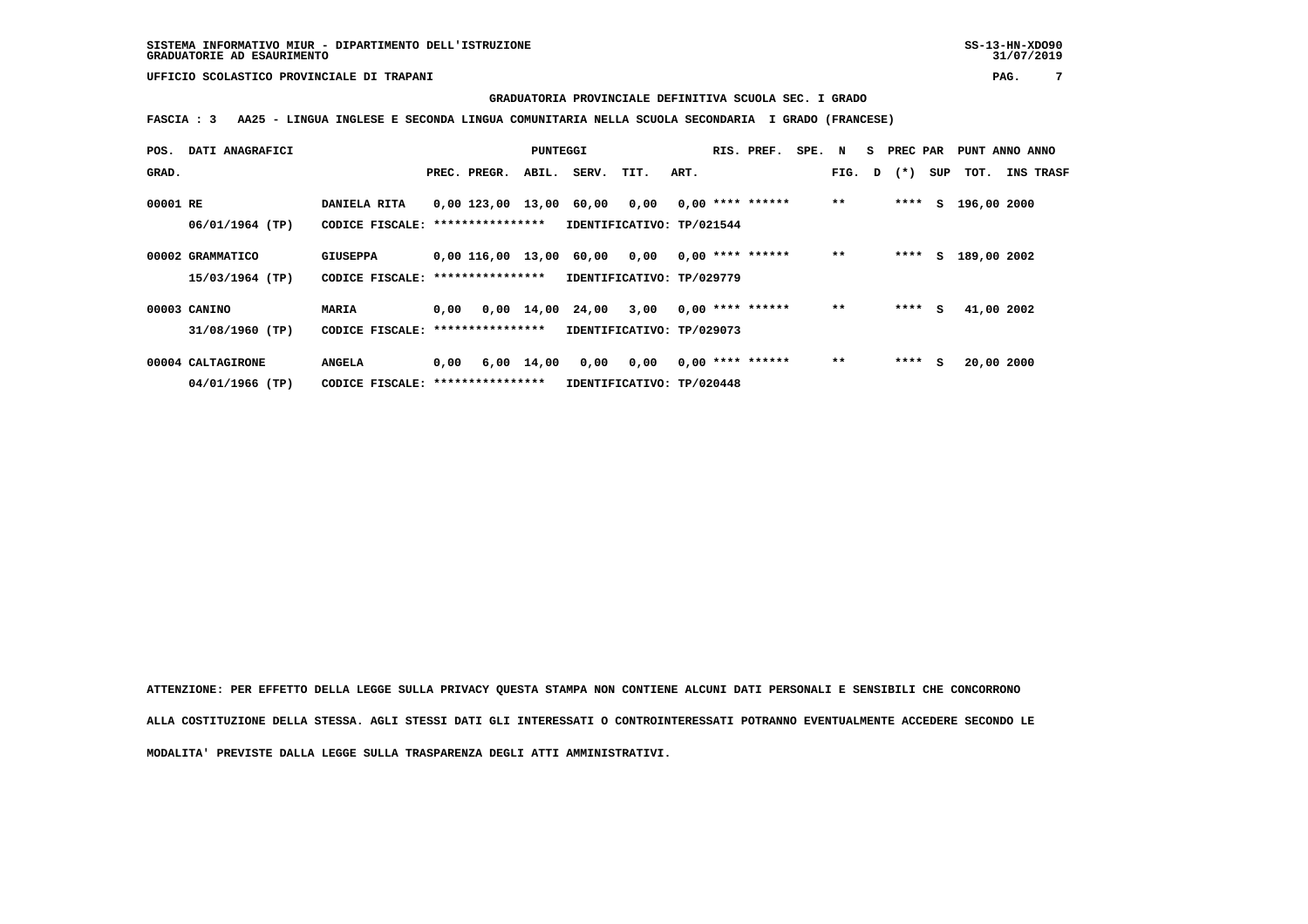## **GRADUATORIA PROVINCIALE DEFINITIVA SCUOLA SEC. I GRADO**

 **FASCIA : 3 AA25 - LINGUA INGLESE E SECONDA LINGUA COMUNITARIA NELLA SCUOLA SECONDARIA I GRADO (FRANCESE)**

| POS.     | DATI ANAGRAFICI                      |                                                      |      |                         | PUNTEGGI     |       |                                   |      | RIS. PREF.         | SPE. N |        | S PREC PAR |     | PUNT ANNO ANNO |            |                  |
|----------|--------------------------------------|------------------------------------------------------|------|-------------------------|--------------|-------|-----------------------------------|------|--------------------|--------|--------|------------|-----|----------------|------------|------------------|
| GRAD.    |                                      |                                                      |      | PREC. PREGR.            | ABIL.        | SERV. | TIT.                              | ART. |                    |        | FIG. D | $(* )$     | SUP | тот.           |            | <b>INS TRASF</b> |
| 00001 RE | 06/01/1964 (TP)                      | DANIELA RITA<br>CODICE FISCALE: *****************    |      | 0,00 123,00 13,00 60,00 |              |       | 0.00<br>IDENTIFICATIVO: TP/021544 |      | $0.00$ **** ****** |        | $***$  | ****       |     | S 196,00 2000  |            |                  |
|          | 00002 GRAMMATICO<br>15/03/1964 (TP)  | <b>GIUSEPPA</b><br>CODICE FISCALE: ***************** |      | 0,00 116,00 13,00 60,00 |              |       | 0,00<br>IDENTIFICATIVO: TP/029779 |      | $0.00$ **** ****** |        | $**$   | ****       |     | S 189,00 2002  |            |                  |
|          | 00003 CANINO<br>31/08/1960 (TP)      | MARIA<br>CODICE FISCALE: *****************           | 0.00 |                         | $0.00$ 14.00 | 24,00 | 3,00<br>IDENTIFICATIVO: TP/029073 |      | $0,00$ **** ****** |        | $**$   | ****       | s   | 41,00 2002     |            |                  |
|          | 00004 CALTAGIRONE<br>04/01/1966 (TP) | <b>ANGELA</b><br>CODICE FISCALE: *****************   | 0,00 |                         | 6,00 14,00   | 0,00  | 0,00<br>IDENTIFICATIVO: TP/020448 |      | $0,00$ **** ****** |        | $**$   | ****       | s   |                | 20,00 2000 |                  |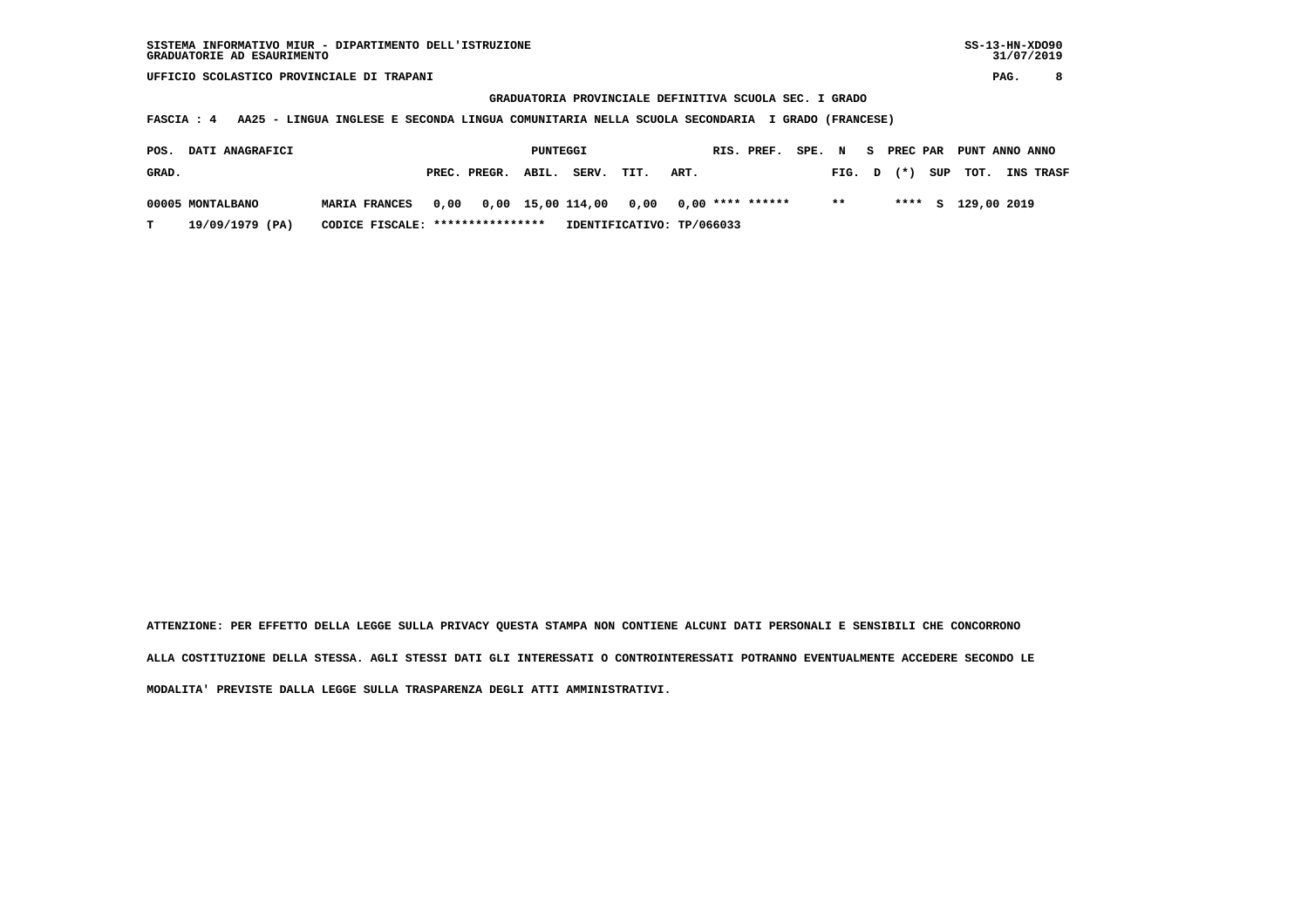**GRADUATORIA PROVINCIALE DEFINITIVA SCUOLA SEC. I GRADO**

 **FASCIA : 4 AA25 - LINGUA INGLESE E SECONDA LINGUA COMUNITARIA NELLA SCUOLA SECONDARIA I GRADO (FRANCESE)**

| POS.  | <b>DATI ANAGRAFICI</b> |                                  | PUNTEGGI |                    |  |                                         | RIS. PREF.                | SPE. N |  |  | S PREC PAR PUNT ANNO ANNO |  |                         |                  |
|-------|------------------------|----------------------------------|----------|--------------------|--|-----------------------------------------|---------------------------|--------|--|--|---------------------------|--|-------------------------|------------------|
| GRAD. |                        |                                  |          | PREC. PREGR. ABIL. |  | SERV.                                   | TIT.                      | ART.   |  |  |                           |  | FIG. $D$ $(*)$ SUP TOT. | <b>INS TRASF</b> |
|       | 00005 MONTALBANO       | <b>MARIA FRANCES</b>             | 0,00     |                    |  | 0,00 15,00 114,00 0,00 0,00 **** ****** |                           |        |  |  | $***$                     |  | **** S 129,00 2019      |                  |
|       | 19/09/1979 (PA)        | CODICE FISCALE: **************** |          |                    |  |                                         | IDENTIFICATIVO: TP/066033 |        |  |  |                           |  |                         |                  |